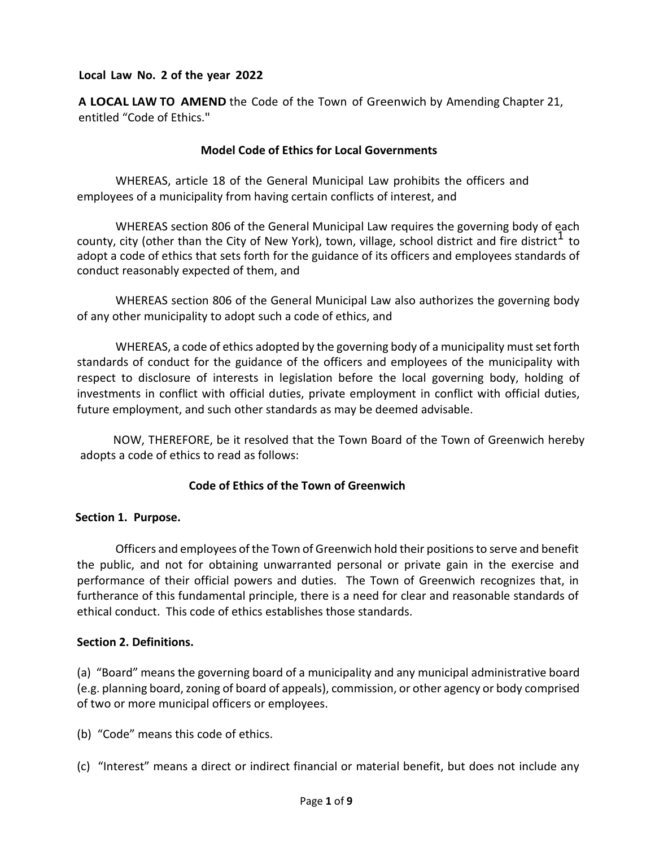## **Local Law No. 2 of the year 2022**

**A LOCAL LAW TO AMEND** the Code of the Town of Greenwich by Amending Chapter 21, entitled "Code of Ethics."

## **Model Code of Ethics for Local Governments**

WHEREAS, article 18 of the General Municipal Law prohibits the officers and employees of a municipality from having certain conflicts of interest, and

WHEREAS section 806 of the General Municipal Law requires the governing body of each county, city (other than the City of New York), town, village, school district and fire district  $\frac{1}{1}$  to adopt a code of ethics that sets forth for the guidance of its officers and employees standards of conduct reasonably expected of them, and

WHEREAS section 806 of the General Municipal Law also authorizes the governing body of any other municipality to adopt such a code of ethics, and

WHEREAS, a code of ethics adopted by the governing body of a municipality must set forth standards of conduct for the guidance of the officers and employees of the municipality with respect to disclosure of interests in legislation before the local governing body, holding of investments in conflict with official duties, private employment in conflict with official duties, future employment, and such other standards as may be deemed advisable.

NOW, THEREFORE, be it resolved that the Town Board of the Town of Greenwich hereby adopts a code of ethics to read as follows:

# **Code of Ethics of the Town of Greenwich**

## **Section 1. Purpose.**

Officers and employees of the Town of Greenwich hold their positions to serve and benefit the public, and not for obtaining unwarranted personal or private gain in the exercise and performance of their official powers and duties. The Town of Greenwich recognizes that, in furtherance of this fundamental principle, there is a need for clear and reasonable standards of ethical conduct. This code of ethics establishes those standards.

## **Section 2. Definitions.**

(a) "Board" means the governing board of a municipality and any municipal administrative board (e.g. planning board, zoning of board of appeals), commission, or other agency or body comprised of two or more municipal officers or employees.

(b) "Code" means this code of ethics.

(c) "Interest" means a direct or indirect financial or material benefit, but does not include any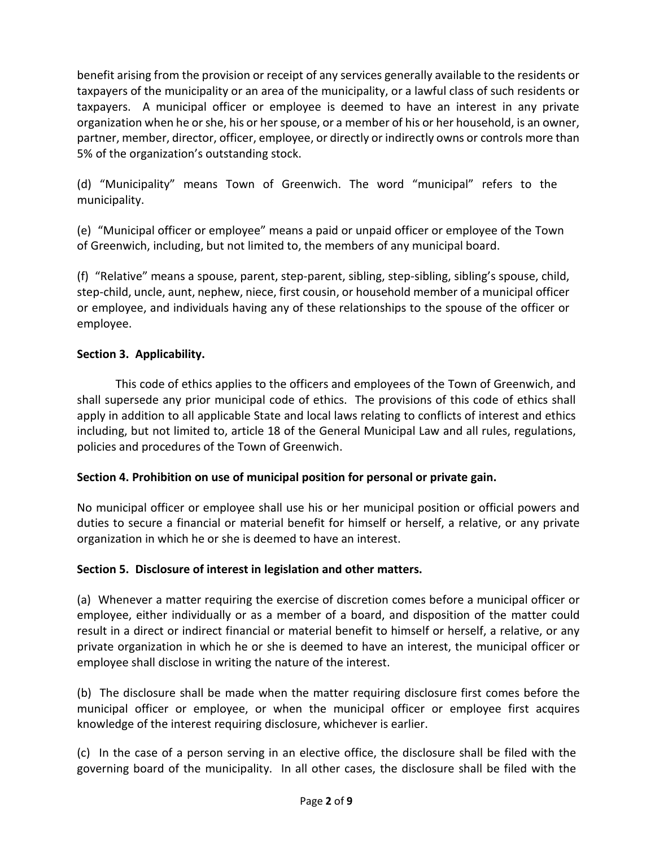benefit arising from the provision or receipt of any services generally available to the residents or taxpayers of the municipality or an area of the municipality, or a lawful class of such residents or taxpayers. A municipal officer or employee is deemed to have an interest in any private organization when he or she, his or her spouse, or a member of his or her household, is an owner, partner, member, director, officer, employee, or directly or indirectly owns or controls more than 5% of the organization's outstanding stock.

(d) "Municipality" means Town of Greenwich. The word "municipal" refers to the municipality.

(e) "Municipal officer or employee" means a paid or unpaid officer or employee of the Town of Greenwich, including, but not limited to, the members of any municipal board.

(f) "Relative" means a spouse, parent, step-parent, sibling, step-sibling, sibling's spouse, child, step-child, uncle, aunt, nephew, niece, first cousin, or household member of a municipal officer or employee, and individuals having any of these relationships to the spouse of the officer or employee.

# **Section 3. Applicability.**

This code of ethics applies to the officers and employees of the Town of Greenwich, and shall supersede any prior municipal code of ethics. The provisions of this code of ethics shall apply in addition to all applicable State and local laws relating to conflicts of interest and ethics including, but not limited to, article 18 of the General Municipal Law and all rules, regulations, policies and procedures of the Town of Greenwich.

# **Section 4. Prohibition on use of municipal position for personal or private gain.**

No municipal officer or employee shall use his or her municipal position or official powers and duties to secure a financial or material benefit for himself or herself, a relative, or any private organization in which he or she is deemed to have an interest.

# **Section 5. Disclosure of interest in legislation and other matters.**

(a) Whenever a matter requiring the exercise of discretion comes before a municipal officer or employee, either individually or as a member of a board, and disposition of the matter could result in a direct or indirect financial or material benefit to himself or herself, a relative, or any private organization in which he or she is deemed to have an interest, the municipal officer or employee shall disclose in writing the nature of the interest.

(b) The disclosure shall be made when the matter requiring disclosure first comes before the municipal officer or employee, or when the municipal officer or employee first acquires knowledge of the interest requiring disclosure, whichever is earlier.

(c) In the case of a person serving in an elective office, the disclosure shall be filed with the governing board of the municipality. In all other cases, the disclosure shall be filed with the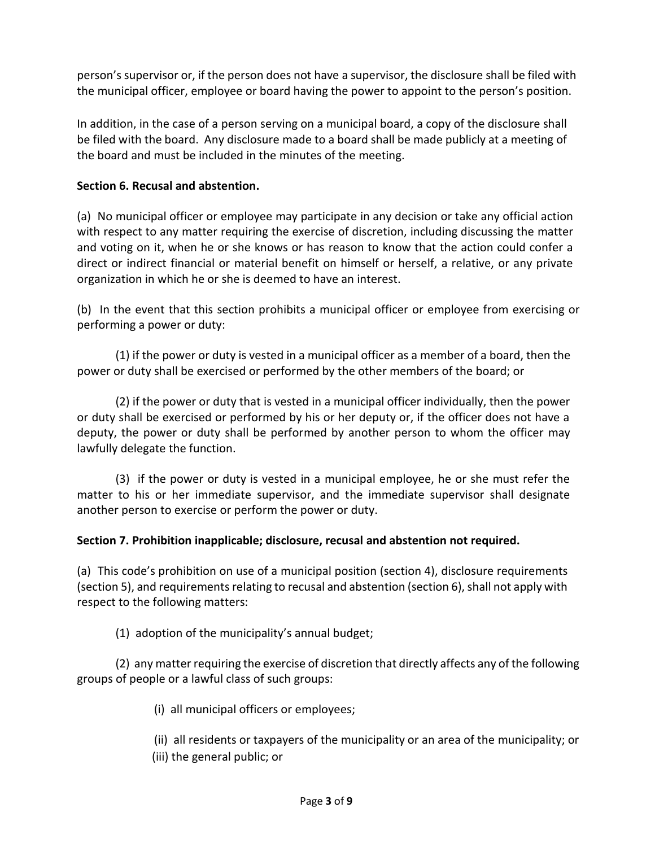person's supervisor or, if the person does not have a supervisor, the disclosure shall be filed with the municipal officer, employee or board having the power to appoint to the person's position.

In addition, in the case of a person serving on a municipal board, a copy of the disclosure shall be filed with the board. Any disclosure made to a board shall be made publicly at a meeting of the board and must be included in the minutes of the meeting.

## **Section 6. Recusal and abstention.**

(a) No municipal officer or employee may participate in any decision or take any official action with respect to any matter requiring the exercise of discretion, including discussing the matter and voting on it, when he or she knows or has reason to know that the action could confer a direct or indirect financial or material benefit on himself or herself, a relative, or any private organization in which he or she is deemed to have an interest.

(b) In the event that this section prohibits a municipal officer or employee from exercising or performing a power or duty:

(1) if the power or duty is vested in a municipal officer as a member of a board, then the power or duty shall be exercised or performed by the other members of the board; or

(2) if the power or duty that is vested in a municipal officer individually, then the power or duty shall be exercised or performed by his or her deputy or, if the officer does not have a deputy, the power or duty shall be performed by another person to whom the officer may lawfully delegate the function.

(3) if the power or duty is vested in a municipal employee, he or she must refer the matter to his or her immediate supervisor, and the immediate supervisor shall designate another person to exercise or perform the power or duty.

# **Section 7. Prohibition inapplicable; disclosure, recusal and abstention not required.**

(a) This code's prohibition on use of a municipal position (section 4), disclosure requirements (section 5), and requirements relating to recusal and abstention (section 6), shall not apply with respect to the following matters:

(1) adoption of the municipality's annual budget;

(2) any matter requiring the exercise of discretion that directly affects any of the following groups of people or a lawful class of such groups:

(i) all municipal officers or employees;

(ii) all residents or taxpayers of the municipality or an area of the municipality; or

(iii) the general public; or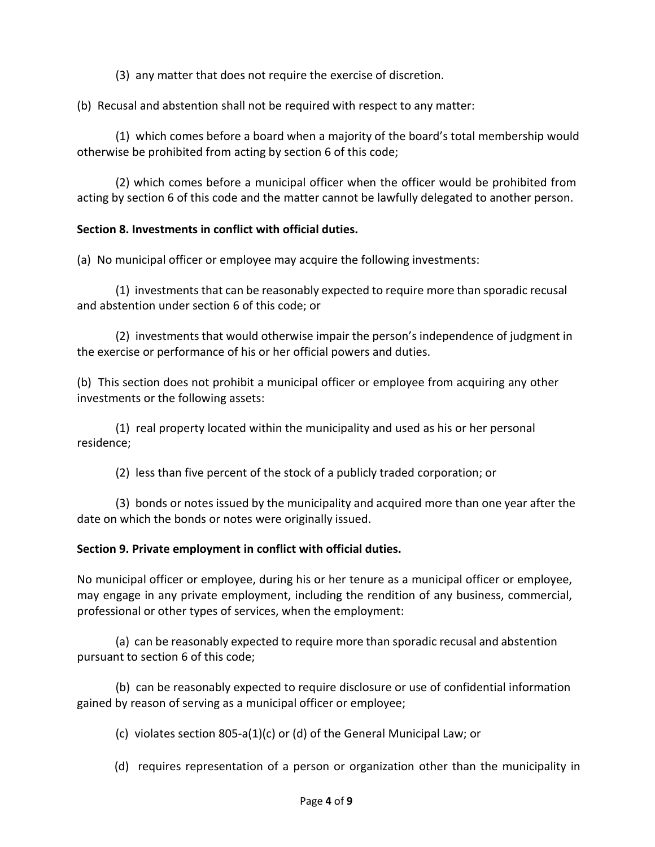(3) any matter that does not require the exercise of discretion.

(b) Recusal and abstention shall not be required with respect to any matter:

(1) which comes before a board when a majority of the board's total membership would otherwise be prohibited from acting by section 6 of this code;

(2) which comes before a municipal officer when the officer would be prohibited from acting by section 6 of this code and the matter cannot be lawfully delegated to another person.

## **Section 8. Investments in conflict with official duties.**

(a) No municipal officer or employee may acquire the following investments:

(1) investments that can be reasonably expected to require more than sporadic recusal and abstention under section 6 of this code; or

(2) investments that would otherwise impair the person's independence of judgment in the exercise or performance of his or her official powers and duties.

(b) This section does not prohibit a municipal officer or employee from acquiring any other investments or the following assets:

(1) real property located within the municipality and used as his or her personal residence;

(2) less than five percent of the stock of a publicly traded corporation; or

(3) bonds or notes issued by the municipality and acquired more than one year after the date on which the bonds or notes were originally issued.

## **Section 9. Private employment in conflict with official duties.**

No municipal officer or employee, during his or her tenure as a municipal officer or employee, may engage in any private employment, including the rendition of any business, commercial, professional or other types of services, when the employment:

(a) can be reasonably expected to require more than sporadic recusal and abstention pursuant to section 6 of this code;

(b) can be reasonably expected to require disclosure or use of confidential information gained by reason of serving as a municipal officer or employee;

(c) violates section 805-a(1)(c) or (d) of the General Municipal Law; or

(d) requires representation of a person or organization other than the municipality in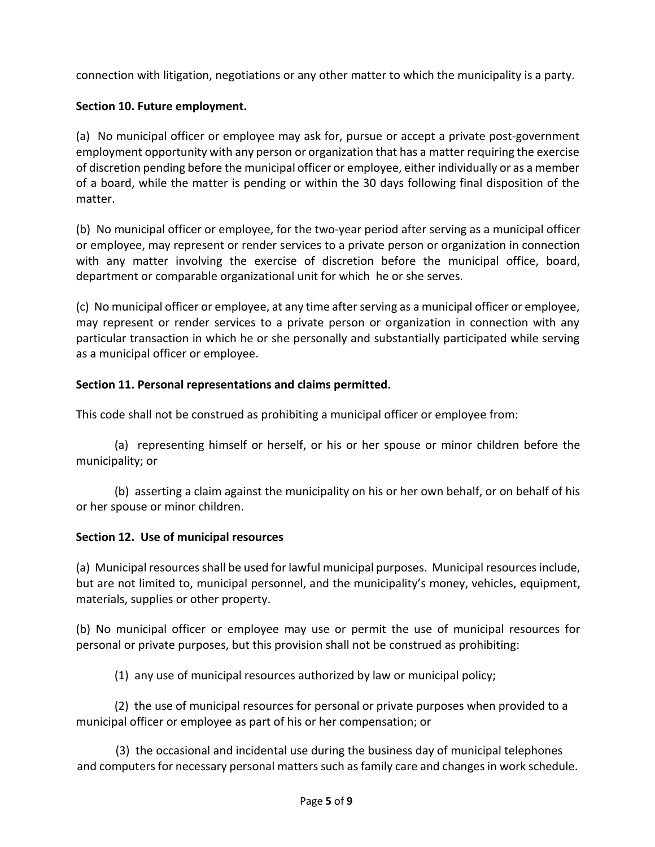connection with litigation, negotiations or any other matter to which the municipality is a party.

# **Section 10. Future employment.**

(a) No municipal officer or employee may ask for, pursue or accept a private post-government employment opportunity with any person or organization that has a matter requiring the exercise of discretion pending before the municipal officer or employee, either individually or as a member of a board, while the matter is pending or within the 30 days following final disposition of the matter.

(b) No municipal officer or employee, for the two-year period after serving as a municipal officer or employee, may represent or render services to a private person or organization in connection with any matter involving the exercise of discretion before the municipal office, board, department or comparable organizational unit for which he or she serves.

(c) No municipal officer or employee, at any time after serving as a municipal officer or employee, may represent or render services to a private person or organization in connection with any particular transaction in which he or she personally and substantially participated while serving as a municipal officer or employee.

# **Section 11. Personal representations and claims permitted.**

This code shall not be construed as prohibiting a municipal officer or employee from:

(a) representing himself or herself, or his or her spouse or minor children before the municipality; or

(b) asserting a claim against the municipality on his or her own behalf, or on behalf of his or her spouse or minor children.

# **Section 12. Use of municipal resources**

(a) Municipal resources shall be used for lawful municipal purposes. Municipal resources include, but are not limited to, municipal personnel, and the municipality's money, vehicles, equipment, materials, supplies or other property.

(b) No municipal officer or employee may use or permit the use of municipal resources for personal or private purposes, but this provision shall not be construed as prohibiting:

(1) any use of municipal resources authorized by law or municipal policy;

(2) the use of municipal resources for personal or private purposes when provided to a municipal officer or employee as part of his or her compensation; or

(3) the occasional and incidental use during the business day of municipal telephones and computers for necessary personal matters such as family care and changes in work schedule.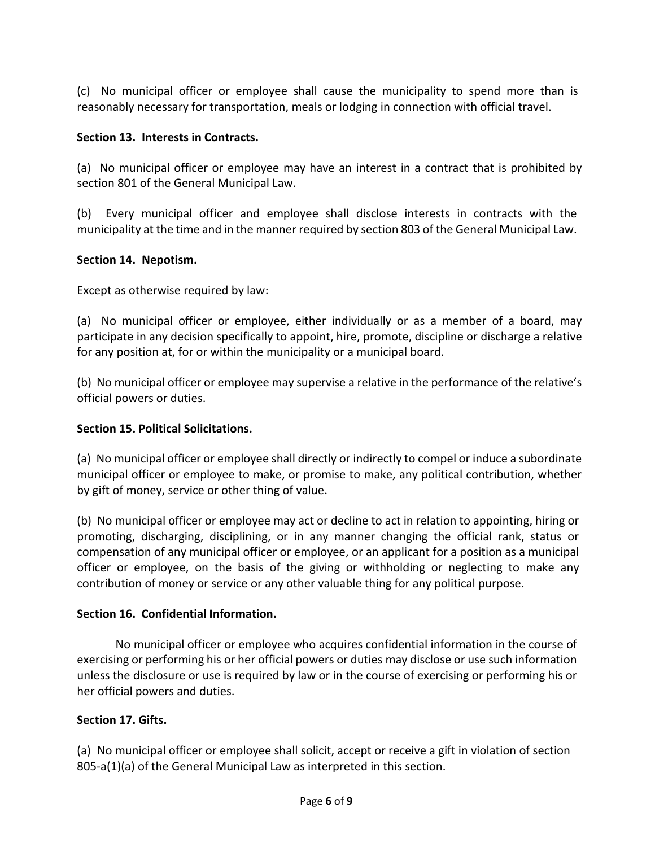(c) No municipal officer or employee shall cause the municipality to spend more than is reasonably necessary for transportation, meals or lodging in connection with official travel.

## **Section 13. Interests in Contracts.**

(a) No municipal officer or employee may have an interest in a contract that is prohibited by section 801 of the General Municipal Law.

(b) Every municipal officer and employee shall disclose interests in contracts with the municipality at the time and in the manner required by section 803 of the General Municipal Law.

## **Section 14. Nepotism.**

Except as otherwise required by law:

(a) No municipal officer or employee, either individually or as a member of a board, may participate in any decision specifically to appoint, hire, promote, discipline or discharge a relative for any position at, for or within the municipality or a municipal board.

(b) No municipal officer or employee may supervise a relative in the performance of the relative's official powers or duties.

## **Section 15. Political Solicitations.**

(a) No municipal officer or employee shall directly or indirectly to compel or induce a subordinate municipal officer or employee to make, or promise to make, any political contribution, whether by gift of money, service or other thing of value.

(b) No municipal officer or employee may act or decline to act in relation to appointing, hiring or promoting, discharging, disciplining, or in any manner changing the official rank, status or compensation of any municipal officer or employee, or an applicant for a position as a municipal officer or employee, on the basis of the giving or withholding or neglecting to make any contribution of money or service or any other valuable thing for any political purpose.

## **Section 16. Confidential Information.**

No municipal officer or employee who acquires confidential information in the course of exercising or performing his or her official powers or duties may disclose or use such information unless the disclosure or use is required by law or in the course of exercising or performing his or her official powers and duties.

# **Section 17. Gifts.**

(a) No municipal officer or employee shall solicit, accept or receive a gift in violation of section 805-a(1)(a) of the General Municipal Law as interpreted in this section.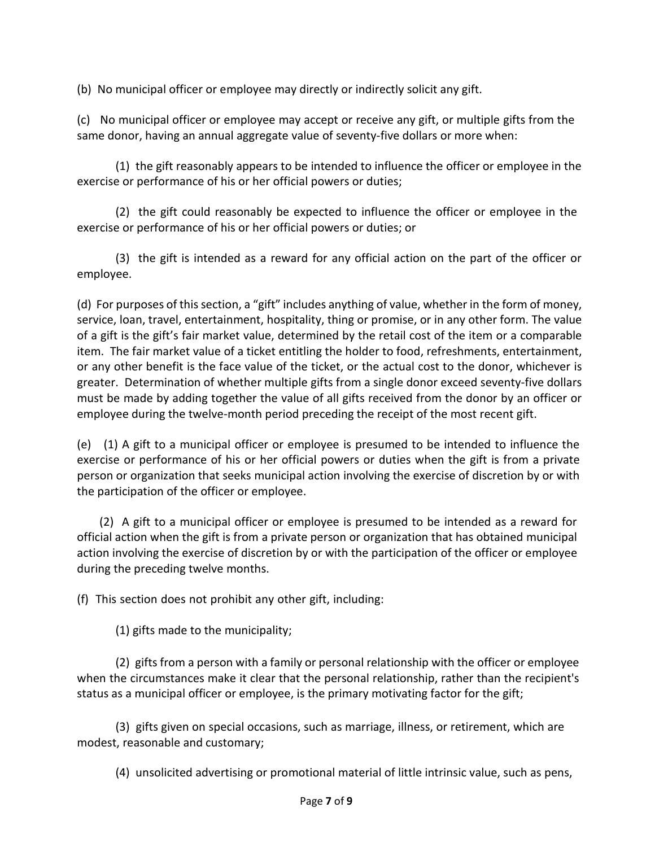(b) No municipal officer or employee may directly or indirectly solicit any gift.

(c) No municipal officer or employee may accept or receive any gift, or multiple gifts from the same donor, having an annual aggregate value of seventy-five dollars or more when:

(1) the gift reasonably appears to be intended to influence the officer or employee in the exercise or performance of his or her official powers or duties;

(2) the gift could reasonably be expected to influence the officer or employee in the exercise or performance of his or her official powers or duties; or

(3) the gift is intended as a reward for any official action on the part of the officer or employee.

(d) For purposes of this section, a "gift" includes anything of value, whether in the form of money, service, loan, travel, entertainment, hospitality, thing or promise, or in any other form. The value of a gift is the gift's fair market value, determined by the retail cost of the item or a comparable item. The fair market value of a ticket entitling the holder to food, refreshments, entertainment, or any other benefit is the face value of the ticket, or the actual cost to the donor, whichever is greater. Determination of whether multiple gifts from a single donor exceed seventy-five dollars must be made by adding together the value of all gifts received from the donor by an officer or employee during the twelve-month period preceding the receipt of the most recent gift.

(e) (1) A gift to a municipal officer or employee is presumed to be intended to influence the exercise or performance of his or her official powers or duties when the gift is from a private person or organization that seeks municipal action involving the exercise of discretion by or with the participation of the officer or employee.

(2) A gift to a municipal officer or employee is presumed to be intended as a reward for official action when the gift is from a private person or organization that has obtained municipal action involving the exercise of discretion by or with the participation of the officer or employee during the preceding twelve months.

(f) This section does not prohibit any other gift, including:

(1) gifts made to the municipality;

(2) gifts from a person with a family or personal relationship with the officer or employee when the circumstances make it clear that the personal relationship, rather than the recipient's status as a municipal officer or employee, is the primary motivating factor for the gift;

(3) gifts given on special occasions, such as marriage, illness, or retirement, which are modest, reasonable and customary;

(4) unsolicited advertising or promotional material of little intrinsic value, such as pens,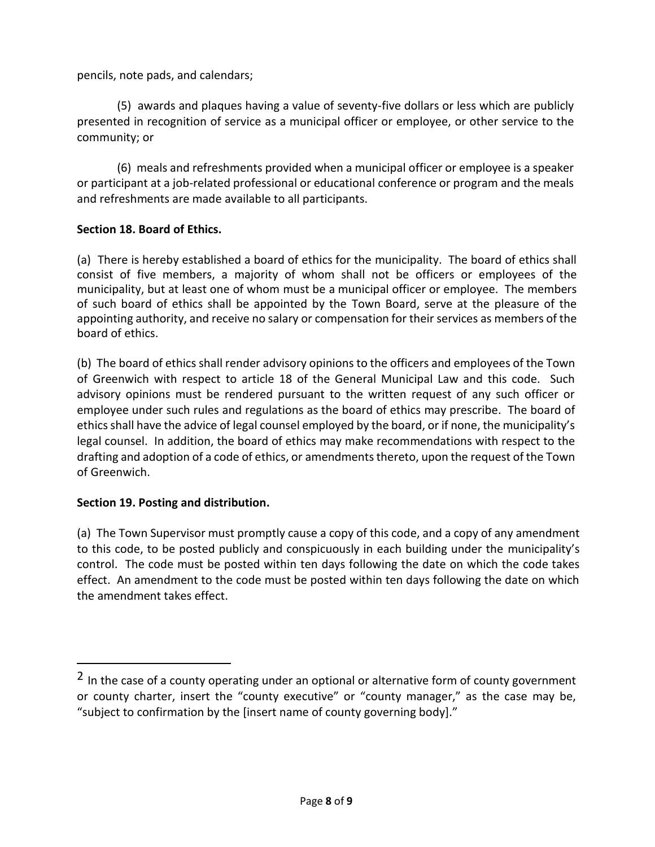pencils, note pads, and calendars;

(5) awards and plaques having a value of seventy-five dollars or less which are publicly presented in recognition of service as a municipal officer or employee, or other service to the community; or

(6) meals and refreshments provided when a municipal officer or employee is a speaker or participant at a job-related professional or educational conference or program and the meals and refreshments are made available to all participants.

## **Section 18. Board of Ethics.**

(a) There is hereby established a board of ethics for the municipality. The board of ethics shall consist of five members, a majority of whom shall not be officers or employees of the municipality, but at least one of whom must be a municipal officer or employee. The members of such board of ethics shall be appointed by the Town Board, serve at the pleasure of the appointing authority, and receive no salary or compensation for their services as members of the board of ethics.

(b) The board of ethics shall render advisory opinions to the officers and employees of the Town of Greenwich with respect to article 18 of the General Municipal Law and this code. Such advisory opinions must be rendered pursuant to the written request of any such officer or employee under such rules and regulations as the board of ethics may prescribe. The board of ethics shall have the advice of legal counsel employed by the board, or if none, the municipality's legal counsel. In addition, the board of ethics may make recommendations with respect to the drafting and adoption of a code of ethics, or amendments thereto, upon the request of the Town of Greenwich.

## **Section 19. Posting and distribution.**

(a) The Town Supervisor must promptly cause a copy of this code, and a copy of any amendment to this code, to be posted publicly and conspicuously in each building under the municipality's control. The code must be posted within ten days following the date on which the code takes effect. An amendment to the code must be posted within ten days following the date on which the amendment takes effect.

 $2$  In the case of a county operating under an optional or alternative form of county government or county charter, insert the "county executive" or "county manager," as the case may be, "subject to confirmation by the [insert name of county governing body]."